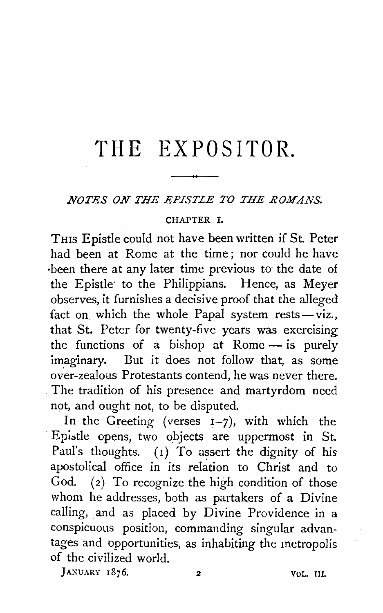# THE EXPOSITOR.

#### *NOTES ON THE EPISTLE TO THE ROMANS.*

#### CHAPTER I.

THIS Epistle could not have been written if St. Peter had been at Rome at the time ; nor could he have ·been there at any later time previous to the date of the Epistle· to the Philippians. Hence, as Meyer observes, it furnishes a decisive proof that the alleged fact on which the whole Papal system  $rests-viz.$ that St. Peter for twenty-five years was exercising the functions of a bishop at Rome  $-$  is purely imaginary. But it does not follow that, as some over-zealous Protestants contend, he was never there. The tradition of his presence and martyrdom need not, and ought not, to be disputed.

In the Greeting (verses  $I-7$ ), with which the Epistle opens, two objects are uppermost in St. Paul's thoughts.  $(1)$  To assert the dignity of his apostolical office in its relation to Christ and to God.  $(2)$  To recognize the high condition of those whom he addresses, both as partakers of a Divine calling, and as placed by Divine Providence in a conspicuous position, commanding singular advantages and opportunities, as inhabiting the metropolis of the civilized world.

JANUARY 1876. 2 VOL. III.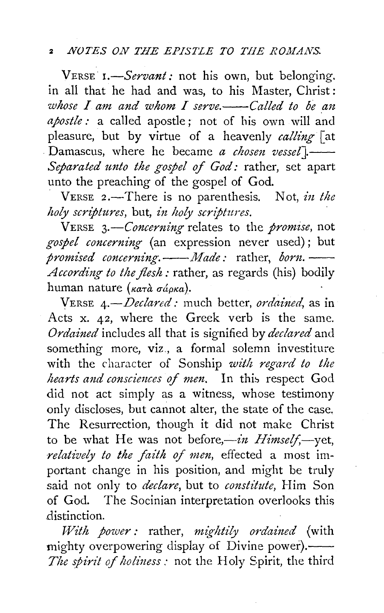## <sup>2</sup>*NOTES ON THE EPISTLE TO THE ROMANS.*

VERSE *I.-Servant:* not his own, but belonging. in all that he had and was, to his Master, Christ: *whose I am and whom I serve.* -- Called to be an *apostle:* a called apostle; not of his own will and pleasure, but by virtue of a heavenly *calling* [at Damascus, where he became *a chosen vessel*].-*Separated unto the gospel of God:* rather, set apart unto the preaching of the gospel of God.

, VERSE 2.-There is no parenthesis. Not, *in the holy scriptures, but, in holy scriptures.* 

VERSE *3.-Concerning* relates to the *promise,* not gospel concerning (an expression never used); but<br>promised concerning. -- Made: rather, born. *According to the flesh:* rather, as regards (his) bodily human nature ( $\kappa a \tau \hat{a} \sigma \hat{a} \rho \kappa a$ ).

VERSE 4.-Declared: much better, ordained, as in Acts x. 42, where the Greek verb is the same. Ordained includes all that is signified by *declared* and something more, viz., a formal solemn investiture with the character of Sonship *with regard to the hearts and consciences of men.* In this respect God did not act simply as a witness, whose testimony only discloses, but cannot alter, the state of the case. The Resurrection, though it did not make Christ to be what He was not before,-*in Himself*,-yet, *relatively to the faith of men*, effected a most important change in his position, and might be truly said not only to *declare,* but to *constitute,* Him Son of God. The Socinian interpretation overlooks this distinction.

*With power:* rather, *mightily ordained* (with mighty overpowering display of Divine power).—— *The spirit of holiness:* not the Holy Spirit, the third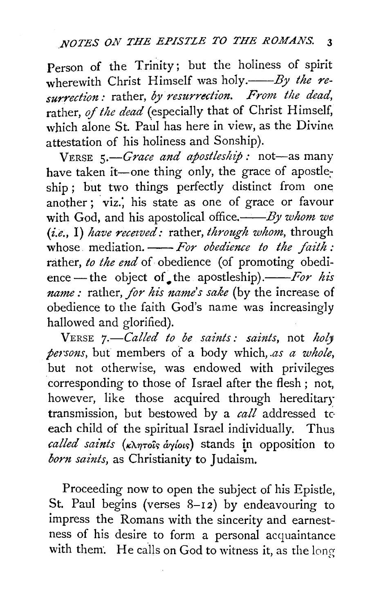Person of the Trinity; but the holiness of spirit wherewith Christ Himself was holy.—*By the resurrection:* rather, *by resurrection. From the dead,*  rather, of *the dead* (especially that of Christ Himself, which alone St. Paul has here in view, as the Divine attestation of his holiness and Sonship).

VERSE 5.—*Grace and apostleship*: not—as many have taken it—one thing only, the grace of apostleship ; but two things perfectly distinct from one another; viz.; his state as one of grace or favour with God, and his apostolical office.----By whom we *(i.e.,* I) *haz•e recezved:* rather, *through whom,* through whose mediation. -- For obedience to the faith: rather, *to the end* of obedience (of promoting obedience — the object of the apostleship).——*For his name:* rather, *for his name's sake* (by the increase of obedience to the faith God's name was increasingly hallowed and glorified).

VERSE *7.-Called to be saints: saints,* not *holy j;e1·sons,* but members of a body which, *.as a whole,*  but not otherwise, was endowed with privileges corresponding to those of Israel after the flesh ; not, however, like those acquired through hereditary transmission, but bestowed by a *call* addressed to each child of the spiritual Israel individually. Thus called saints ( $\kappa\lambda\eta\tau o\hat{i}$ s *áyíous*) stands in opposition to *born saints*, as Christianity to Judaism.

Proceeding now to open the subject of his Epistle, St. Paul begins (verses  $8-12$ ) by endeavouring to impress the Romans with the sincerity and earnestness of his desire to form a personal acquaintance with them. He calls on God to witness it, as the long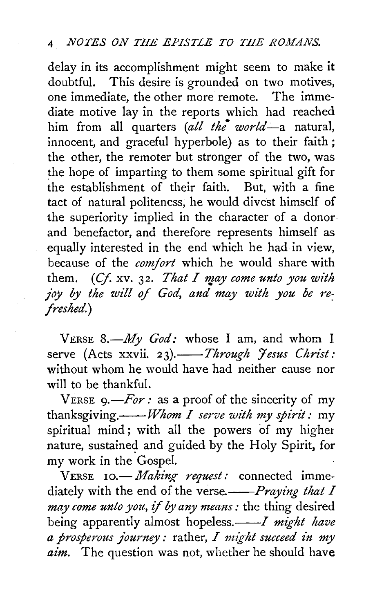### *NOTES ON THE EPISTLE TO THE ROMANS.*

delay in its accomplishment might seem to make it doubtful. This desire is grounded on two motives, one immediate, the other more remote. The immediate motive lay in the reports which had reached him from all quarters *(all the world-a* natural, innocent, and graceful hyperbole) as to their faith ; the other, the remoter but stronger of the two, was the hope of imparting to them some spiritual gift for the establishment of their faith. But, with a fine tact of natural politeness, he would divest himself of the superiority implied in the character of a donor. and benefactor, and therefore represents himself as equally interested in the end which he had in view, because of the *comfort* which he would share with them. *(Cf. xv. 32. That I may come unto you with* joy by the will of God, and may with you be re*freshed.)* 

VERSE 8.-*My God:* whose I am, and whom I serve (Acts xxvii. 23).-*Through Jesus Christ*: without whom he would have had neither cause nor will to be thankful.

VERSE  $9 - For:$  as a proof of the sincerity of my thanksgiving.--*Whom I serve with my spirz''t:* my spiritual mind; with all the powers of my higher nature, sustained and guided by the Holy Spirit, for my work in the Gospel.

VERSE 10. *Making request:* connected immediately with the end of the verse.--Praying that I *may come unto you, if by any means:* the thing desired being apparently almost hopeless.—*—I might have a prosperous journey :* rather, *I might succeed in my aim.* The question was not, whether he should have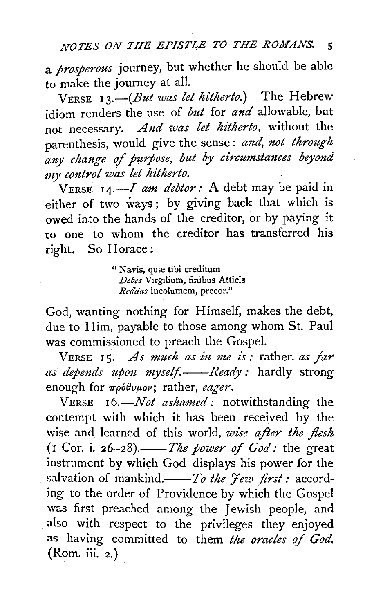*NOTES ON 7HE EPISTLE TO THE ROMANS.* 5

a *prosperous* journey, but whether he should be able to make the journey at all.

VERSE *13.-(But was let hitherto.)* The Hebrew idiom renders the use of *but* for *and* allowable, but not necessary. *And was let hitherto*, without the parenthesis, would give the sense : *aml, not through any change* of *purpose, but by circumstances beyond my control was let hitherto.* 

VERSE 14.-I *am debtor:* A debt may be paid in either of two ways; by giving back that which is owed into the hands of the creditor, or by paying it to one to whom the creditor has transferred his right. So Horace:

> " Navis, quæ tibi creditum *Debes* Virgilium, finibus Atticis *Reddas* incolumem, precor."

God, wanting nothing for Himself, makes the debt, due to Him, payable to those among whom St. Paul was commissioned to preach the Gospel.

VERSE 15.—As much as in me is: rather, as far *as depends upon myself.——Ready : hardly strong* enough for *wpoBup,ov;* rather, *eager.* 

VERSE 16.-*Not ashamed:* notwithstanding the contempt with which it has been received by the wise and learned of this world, wise after the flesh (1 Cor. i. *26-28).--The power* of *God:* the great instrument by which God displays his power for the salvation of mankind.--To the Yew first: according to the order of Providence by which the Gospel was first preached among the Jewish people, and also with respect to the privileges they enjoyed as having committed to them *the oracles* of *God.*  (Rom. iii. 2.)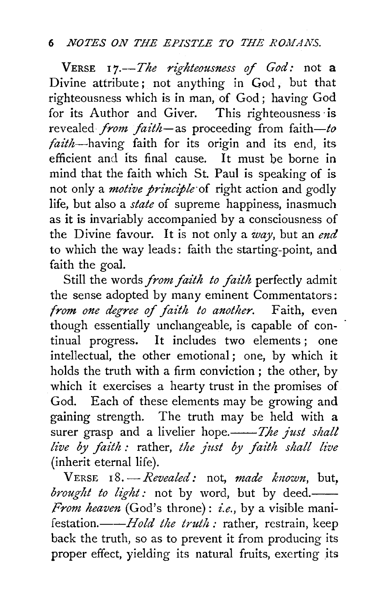## 6 *NOTES ON THE EPISTLE TO THE ROMANS.*

VERSE *17.--The righteousness* of *God:* not a Divine attribute; not anything in God, but that righteousness which is in man, of God; having God for its Author and Giver. This righteousness· is revealed *from faith*-as proceeding from faith-to *faith-having* faith for its origin and its end, its efficient and its final cause. It must be borne in mind that the faith which St. Paul is speaking of is not only a *motive principle* of right action and godly life, but also a *state* of supreme happiness, inasmuch as it is invariably accompanied by a consciousness of the Divine favour. It is not only a *way,* but an *end*  to which the way leads: faith the starting-point, and faith the goal.

Still the words *from faith to faith* perfectly admit the sense adopted by many eminent Commentators: *from one degree of faith to another.* Faith, even though essentially unchangeable, is capable of continual progress. It includes two elements ; one intellectual, the other emotional; one, by which it holds the truth with a firm conviction ; the other, by which it exercises a hearty trust in the promises of God. Each of these elements may be growing and gaining strength. The truth may be held with a surer grasp and a livelier hope.--The just shall *live by faith*: rather, *the just by faith shall live* (inherit eternal life).

VERSE r8. *-Revealed:* not, *made known,* but, *brought to light*: not by word, but by deed. *From heaven* (God's throne) : *i.e.,* by a visible manifestation.----*Hold the truth:* rather, restrain, keep back the truth, so as to prevent it from producing its proper effect, yielding its natural fruits, exerting its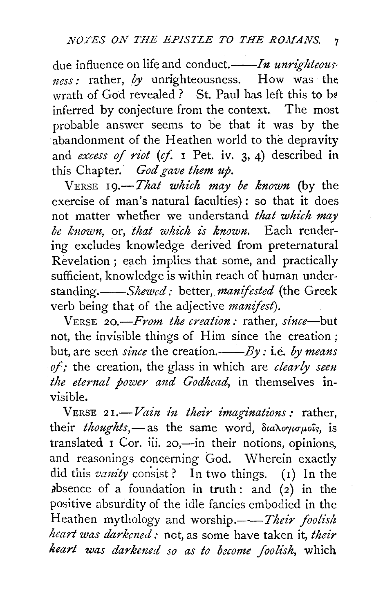due influence on life and conduct.——*In unrighteous tzess:* rather, *by* unrighteousness. How was the wrath of God revealed ? St. Paul has left this to be inferred by conjecture from the context. The most probable answer seems to be that it was by the 'abandonment of the Heathen world to the depravity and *excess* of *riot* (cf. I Pet. iv. 3, 4) described in this Chapter. *God gave them up.* 

VERSE 19.-*That which may be known* (by the exercise of man's natural faculties): so that it does not matter whether we understand *that which may be known,* or, *that which is known.* Each rendering excludes knowledge derived from preternatural Revelation ; each implies that some, and practically sufficient, knowledge is within reach of human under*standing.--Shewed:* better, *manifested* (the Greek verb being that of the adjective *manifest).* 

VERSE *20.-From the creation:* rather, *since-but*  not, the invisible things of Him since the creation; but, are seen *since* the creation.——*By*: i.e. *by means of;* the creation, the glass in which are *clearly seen*  the eternal power and Godhead, in themselves invisible.

VERSE 21.-Vain in their imaginations: rather, their *thoughts*,-as the same word, διαλογισμοΐς, is translated  $\overline{I}$  Cor. iii. 20,—in their notions, opinions, and reasonings concerning Cod. Wherein exactly did this *vanity* consist? In two things. (1) In the absence of a foundation in truth: and  $(2)$  in the positive absurdity of the idle fancies embodied in the Heathen mythology and worship.——*Their foolish heart was darkemd:* not, as some have taken it, *their heart was darkened so as to become foolish*, which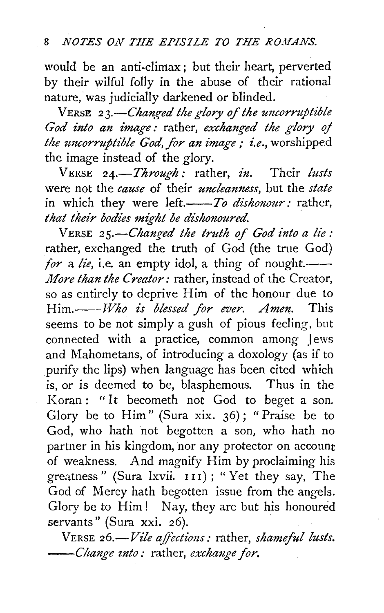would be an anti-climax; but their heart, perverted by their wilful folly in the abuse of their rational nature, was judicially darkened or blinded.

VERSE *23.-Changed the glory of the uncorruptible God into an image:* rather, *exchanged the glory* oj *the uncorruptible God, for an image; i.e., worshipped* the image instead of the glory.

VERSE *24.-Through:* rather, *in.* Their *lusts*  were not the *cause* of their *uncleanness,* but the *state*  in which they were *left.—To dishonour*: rather, *that their bodies might be dishonoured.* 

VERSE *25.-Changed the truth of God into a lie:*  rather, exchanged the truth of God (the true God) *for* a *lie*, i.e. an empty idol, a thing of nought. *More than the Creator:* rather, instead of the Creator, so as entirely to deprive Him of the honour due to *Him.--T17ho is blessed for ever. Amen.* This seems to be not simply a gush of pious feeling, but connected with a practice, common among Jews and Mahometans, of introducing a doxology (as if to purify the lips) when language has been cited which is, or is deemed to be, blasphemous. Thus in the Koran: "It becometh not God to beget a son. Glory be to Him" (Sura xix. 36) ; " Praise be to God, who hath not begotten a son, who hath no partner in his kingdom, nor any protector on account of weakness. And magnify Him by proclaiming his greatness" (Sura lxvii. 111); "Yet they say, The God of Mercy hath begotten issue from the angels. Glory be to Him! Nay, they are but his honoured servants" (Sura xxi. 26).

VERSE *26.-Vile affections:* rather, *shameful lusts. ---Change into:* rather, *exchange for.*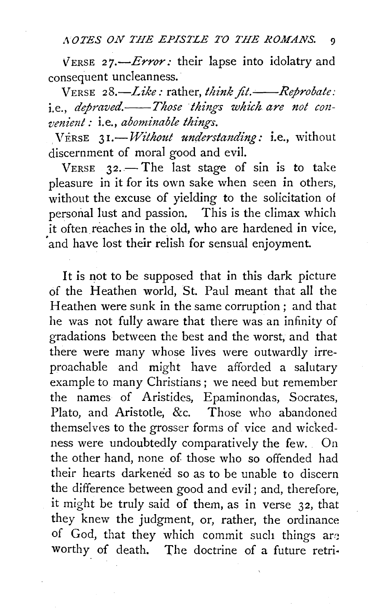VERSE 27.-*Error*: their lapse into idolatry and consequent uncleanness.

VERSE 28.-Like: rather, *think fit.*--Reprobate: i.e., *depraved.* Those things which are not con*venient*: *i.e.*, *abominable things.* 

VERSE 31.-*Without understanding*: i.e., without discernment of moral good and evil.

 $V$ ERSE  $32$ . - The last stage of sin is to take pleasure in it for its own sake when seen in others, without the excuse of yielding to the solicitation of personal lust and passion. This is the climax which it often reaches in the old, who are hardened in vice, and have lost their relish for sensual enjoyment.

It is not to be supposed that in this dark picture of the Heathen world, St. Paul meant that all the Heathen were sunk in the same corruption; and that he was not fully aware that there was an infinity of gradations between the best and the worst, and that there were many whose lives were outwardly irreproachable and might have afforded a salutary example to many Christians; we need but remember the names of Aristides, Epaminondas, Socrates, Plato, and Aristotle, &c. Those who abandoned themselves to the grosser forms of vice and wickedness were undoubtedly comparatively the few. On the other hand, none of those who so offended had their hearts darkened so as to be unable to discern the difference between good and evil ; and, therefore, it might be truly said of them, as in verse *32,* that they knew the judgment, or, rather, the ordinance of God, that they which commit such things are worthy of death. The doctrine of a future retri·